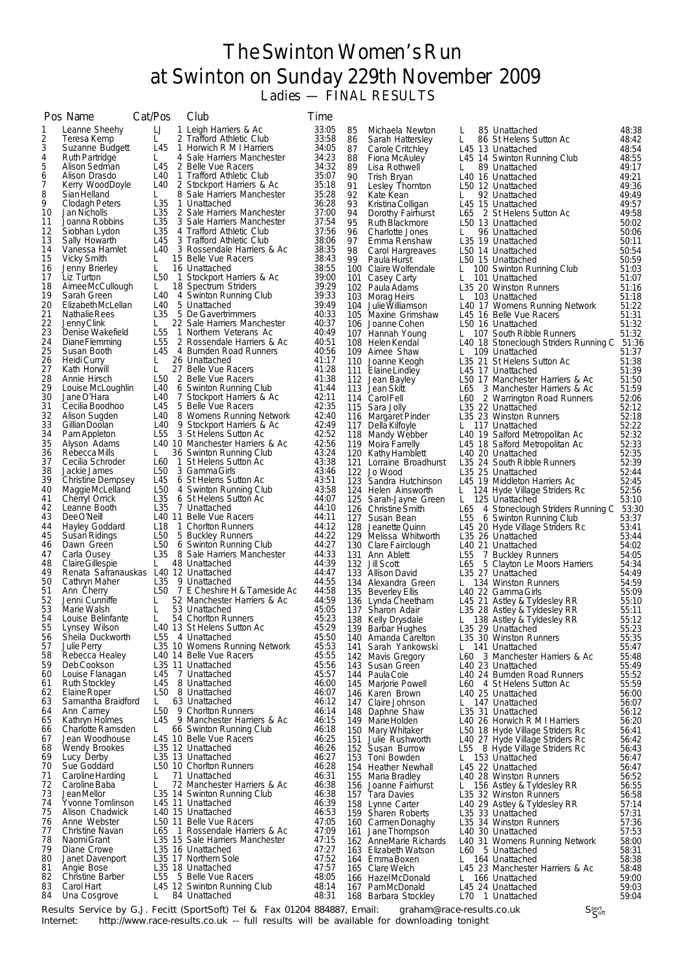## The Swinton Women's Run at Swinton on Sunday 229th November 2009

Ladies — FINAL RESULTS

|          | Pos Name                                | Cat/Pos                            |                | Club                                                          | <b>Time</b>    |          |                                               |            |                                                                     |                |
|----------|-----------------------------------------|------------------------------------|----------------|---------------------------------------------------------------|----------------|----------|-----------------------------------------------|------------|---------------------------------------------------------------------|----------------|
| 1        | Leanne Sheehy                           | IJ                                 |                | 1 Leigh Harriers & Ac                                         | 33:05          | 85       | Michaela Newton                               | L.         | 85 Unattached                                                       | 48:38          |
| 2<br>3   | Teresa Kemp<br>Suzanne Budgett          | L<br>L <sub>45</sub>               |                | 2 Trafford Athletic Club<br>1 Horwich R M I Harriers          | 33:58<br>34:05 | 86<br>87 | Sarah Hattersley<br>Carole Critchley          | L.         | 86 St Helens Sutton Ac<br>L45 13 Unattached                         | 48:42<br>48:54 |
| 4        | <b>Ruth Partridge</b>                   | L.                                 |                | 4 Sale Harriers Manchester                                    | 34:23          | 88       | Fiona McAuley                                 |            | L45 14 Swinton Running Club                                         | 48:55          |
| 5<br>6   | Alison Sedman<br>Alison Drasdo          | L45<br>L40                         |                | 2 Belle Vue Racers<br>1 Trafford Athletic Club                | 34:32<br>35:07 | 89<br>90 | Lisa Rothwell                                 | L          | 89 Unattached                                                       | 49:17<br>49:21 |
| 7        | Kerry WoodDoyle                         | L40                                |                | 2 Stockport Harriers & Ac                                     | 35:18          | 91       | Trish Bryan<br>Lesley Thornton                |            | L40 16 Unattached<br>L50 12 Unattached                              | 49:36          |
| 8        | Sian Helland                            | L.                                 |                | 8 Sale Harriers Manchester                                    | 35:28          | 92       | Kate Kean                                     | L.         | 92 Unattached                                                       | 49:49          |
| 9<br>10  | Clodagh Peters<br>Jan Nicholls          | L <sub>35</sub><br>L <sub>35</sub> |                | 1 Unattached<br>2 Sale Harriers Manchester                    | 36:28<br>37:00 | 93<br>94 | Kristina Colligan<br>Dorothy Fairhurst        |            | L45 15 Unattached<br>L65 2 St Helens Sutton Ac                      | 49:57<br>49:58 |
| 11       | Joanna Robbins                          | L <sub>35</sub>                    |                | 3 Sale Harriers Manchester                                    | 37:54          | 95       | Ruth Blackmore                                |            | L50 13 Unattached                                                   | 50:02          |
| 12<br>13 | Siobhan Lydon<br>Sally Howarth          | L <sub>35</sub><br>L45             |                | 4 Trafford Athletic Club<br>3 Trafford Athletic Club          | 37:56<br>38:06 | 96<br>97 | Charlotte Jones                               | L.         | 96 Unattached                                                       | 50:06          |
| 14       | Vanessa Hamlet                          |                                    |                | L40 3 Rossendale Harriers & Ac                                | 38:35          | 98       | Emma Renshaw<br>Carol Hargreaves              |            | L35 19 Unattached<br>L50 14 Unattached                              | 50:11<br>50:54 |
| 15       | Vicky Smith                             | L.                                 |                | 15 Belle Vue Racers                                           | 38:43          | 99       | Paula Hurst                                   |            | L50 15 Unattached                                                   | 50:59          |
| 16<br>17 | Jenny Brierley<br>Liz Turton            | L<br>L50                           | $\overline{1}$ | 16 Unattached<br>Stockport Harriers & Ac                      | 38:55<br>39:00 | 101      | 100 Claire Wolfendale<br>Casey Carty          | L          | L 100 Swinton Running Club<br>101 Unattached                        | 51:03<br>51:07 |
| 18       | AimeeMcCullough                         | L.                                 |                | 18 Spectrum Striders                                          | 39:29          |          | 102 Paula Adams                               |            | L35 20 Winston Runners                                              | 51:16          |
| 19<br>20 | Sarah Green<br>Elizabeth McLellan       | L40<br>L40                         |                | 4 Swinton Running Club<br>5 Unattached                        | 39:33<br>39:49 |          | 103 Morag Heirs<br>104 Julie Williamson       | L.         | 103 Unattached<br>L40 17 Womens Running Network                     | 51:18<br>51:22 |
| 21       | Nathalie Rees                           | L35                                |                | 5 De Gavertrimmers                                            | 40:33          |          | 105 Maxine Grimshaw                           |            | L45 16 Belle Vue Racers                                             | 51:31          |
| 22<br>23 | Jenny Clink                             | L.<br>L <sub>55</sub>              |                | 22 Sale Harriers Manchester                                   | 40:37<br>40:49 |          | 106 Joanne Cohen                              |            | L50 16 Unattached                                                   | 51:32          |
| 24       | Denise Wakefield<br>Diane Flemming      | L <sub>55</sub>                    |                | 1 Northern Veterans Ac<br>2 Rossendale Harriers & Ac          | 40:51          |          | 107 Hannah Young<br>108 Helen Kendal          |            | L 107 South Ribble Runners<br>L40 18 Stoneclough Striders Running C | 51:32<br>51:36 |
| 25       | Susan Booth                             |                                    |                | L45 4 Burnden Road Runners                                    | 40:56          |          | 109 Aimee Shaw                                |            | 109 Unattached                                                      | 51:37          |
| 26<br>27 | Heidi Curry<br>Kath Horwill             | L<br>L                             |                | 26 Unattached<br>27 Belle Vue Racers                          | 41:17<br>41:28 |          | 110 Joanne Keogh<br>111 Elaine Lindley        |            | L35 21 St Helens Sutton Ac<br>L45 17 Unattached                     | 51:38<br>51:39 |
| 28       | Annie Hirsch                            |                                    |                | L50 2 Belle Vue Racers                                        | 41:38          |          | 112 Jean Bayley                               |            | L50 17 Manchester Harriers & Ac                                     | 51:50          |
| 29<br>30 | Louise McLoughlin<br>Jane O'Hara        | L40<br>L40                         |                | 6 Swinton Running Club<br>7 Stockport Harriers & Ac           | 41:44<br>42:11 |          | 113 Jean Skitt                                | L65        | 3 Manchester Harriers & Ac                                          | 51:59          |
| 31       | Cecilia Boodhoo                         | L45                                |                | 5 Belle Vue Racers                                            | 42:35          |          | 114 Carol Fell<br>115 Sara Jolly              |            | L60 2 Warrington Road Runners<br>L35 22 Unattached                  | 52:06<br>52:12 |
| 32       | Alison Sugden                           | L40                                |                | 8 Womens Running Network                                      | 42:40          |          | 116 Margaret Pinder                           |            | L35 23 Winston Runners                                              | 52:18          |
| 33<br>34 | Gillian Doolan<br>Pam Appleton          | L40<br>L <sub>55</sub>             |                | 9 Stockport Harriers & Ac<br>3 St Helens Sutton Ac            | 42:49<br>42:52 |          | 117 Della Kilfoyle<br>118 Mandy Webber        |            | L 117 Unattached<br>L40 19 Salford Metropolitan Ac                  | 52:22<br>52:32 |
| 35       | Alyson Adams                            |                                    |                | L40 10 Manchester Harriers & Ac                               | 42:56          |          | 119 Moira Farrelly                            |            | L45 18 Salford Metropolitan Ac                                      | 52:33          |
| 36<br>37 | Rebecca Mills<br>Cecilia Schroder       | L.<br>L60                          |                | 36 Swinton Running Club<br>1 St Helens Sutton Ac              | 43:24<br>43:38 |          | 120 Kathy Hamblett<br>121 Lorraine Broadhurst |            | L <sub>40</sub> 20 Unattached                                       | 52:35<br>52:39 |
| 38       | Jackie James                            | L <sub>50</sub>                    |                | 3 Gamma Girls                                                 | 43:46          |          | 122 Jo Wood                                   |            | L35 24 South Ribble Runners<br>L35 25 Unattached                    | 52:44          |
| 39       | Christine Dempsey                       | L45                                |                | 6 St Helens Sutton Ac                                         | 43:51          |          | 123 Sandra Hutchinson                         |            | L45 19 Middleton Harriers Ac                                        | 52:45          |
| 40<br>41 | Maggie McLelland<br>Cherryl Orrick      | L50<br>L35                         |                | 4 Swinton Running Club<br>6 St Helens Sutton Ac               | 43:58<br>44:07 |          | 124 Helen Ainsworth<br>125 Sarah-Jayne Green  |            | L 124 Hyde Village Striders Rc<br>L 125 Unattached                  | 52:56<br>53:10 |
| 42       | Leanne Booth                            | L35                                |                | 7 Unattached                                                  | 44:10          |          | 126 Christine Smith                           | L65        | 4 Stoneclough Striders Running C                                    | 53:30          |
| 43<br>44 | Dee O'Neill<br>Hayley Goddard           | L18                                |                | L40 11 Belle Vue Racers<br>1 Chorlton Runners                 | 44:11<br>44:12 |          | 127 Susan Bean<br>128 Jeanette Quinn          | L55        | 6 Swinton Running Club<br>L45 20 Hyde Village Striders Rc           | 53:37<br>53:41 |
| 45       | Susan Ridings                           | L50                                |                | 5 Buckley Runners                                             | 44:22          |          | 129 Melissa Whitworth                         |            | L35 26 Unattached                                                   | 53:44          |
| 46       | Dawn Green                              | L50                                |                | 6 Swinton Running Club<br>L35 8 Sale Harriers Manchester      | 44:27<br>44:33 |          | 130 Clare Fairclough                          |            | L40 21 Unattached                                                   | 54:02          |
| 47<br>48 | Carla Ousey<br>Claire Gillespie         | L.                                 |                | 48 Unattached                                                 | 44:39          |          | 131 Ann Ablett<br>132 Jill Scott              | L55<br>L65 | 7 Buckley Runners<br>5 Clayton Le Moors Harriers                    | 54:05<br>54:34 |
| 49       | Renata Safranauskas L40 12 Unattached   |                                    |                |                                                               | 44:47          |          | 133 Allison David                             |            | L35 27 Unattached                                                   | 54:49          |
| 50<br>51 | Cathryn Maher<br>Ann Cherry             |                                    |                | L35 9 Unattached<br>L50 7 E Cheshire H & Tameside Ac          | 44:55<br>44:58 |          | 134 Alexandra Green<br>135 Beverley Ellis     |            | L 134 Winston Runners<br>L40 22 Gamma Girls                         | 54:59<br>55:09 |
| 52       | Jenni Cunniffe                          | L                                  |                | 52 Manchester Harriers & Ac                                   | 44:59          |          | 136 Lynda Cheetham                            |            | L45 21 Astley & Tyldesley RR                                        | 55:10          |
| 53<br>54 | Marie Walsh<br>Louise Belinfante        | L<br>L.                            |                | 53 Unattached<br>54 Chorlton Runners                          | 45:05<br>45:23 |          | 137 Sharon Adair                              |            | L35 28 Astley & Tyldesley RR                                        | 55:11          |
| 55       | Lynsey Wilson                           |                                    |                | L40 13 St Helens Sutton Ac                                    | 45:29          |          | 138 Kelly Drysdale<br>139 Barbar Hughes       |            | L 138 Astley & Tyldesley RR<br>L35 29 Unattached                    | 55:12<br>55:23 |
| 56       | Sheila Duckworth                        | L55                                |                | 4 Unattached                                                  | 45:50          |          | 140 Amanda Carelton                           |            | L35 30 Winston Runners                                              | 55:35          |
| 57<br>58 | <b>Julie Perry</b><br>Rebecca Healey    |                                    |                | L35 10 Womens Running Network<br>L40 14 Belle Vue Racers      | 45:53<br>45:55 | 141      | Sarah Yankowski<br>142 Mavis Gregory          | L.<br>L60  | 141 Unattached<br>3 Manchester Harriers & Ac                        | 55:47<br>55:48 |
| 59       | Deb Cookson                             |                                    |                | L <sub>35</sub> 11 Unattached                                 | 45:56          | 143      | Susan Green                                   |            | L40 23 Unattached                                                   | 55:49          |
| 60<br>61 | Louise Flanagan<br><b>Ruth Stockley</b> | L45<br>L45                         |                | 7 Unattached<br>8 Unattached                                  | 45:57<br>46:00 | 144      | Paula Cole<br>145 Marjorie Powell             |            | L40 24 Burnden Road Runners<br>L60 4 St Helens Sutton Ac            | 55:52<br>55:59 |
| 62       | Elaine Roper                            | L50                                |                | 8 Unattached                                                  | 46:07          |          | 146 Karen Brown                               |            | L40 25 Unattached                                                   | 56:00          |
| 63       | Samantha Braidford                      | L.<br>L50                          |                | 63 Unattached<br>9 Chorlton Runners                           | 46:12<br>46:14 | 147      | Claire Johnson                                |            | L 147 Unattached                                                    | 56:07          |
| 64<br>65 | Ann Carney<br>Kathryn Holmes            | L45                                |                | 9 Manchester Harriers & Ac                                    | 46:15          |          | 148 Daphne Shaw<br>149 Marie Holden           |            | L35 31 Unattached<br>L40 26 Horwich R M I Harriers                  | 56:12<br>56:20 |
| 66       | Charlotte Ramsden                       | L.                                 |                | 66 Swinton Running Club                                       | 46:18          |          | 150 Mary Whitaker                             |            | L50 18 Hyde Village Striders Rc                                     | 56:41          |
| 67<br>68 | Jean Woodhouse<br><b>Wendy Brookes</b>  |                                    |                | L45 10 Belle Vue Racers<br>L35 12 Unattached                  | 46:25<br>46:26 | 151      | Julie Rushworth<br>152 Susan Burrow           |            | L40 27 Hyde Village Striders Rc<br>L55 8 Hyde Village Striders Rc   | 56:42<br>56:43 |
| 69       | Lucy Derby                              |                                    |                | L35 13 Unattached                                             | 46:27          |          | 153 Toni Bowden                               | L.         | 153 Unattached                                                      | 56:47          |
| 70<br>71 | Sue Goddard<br>Caroline Harding         | L                                  |                | L50 10 Chorlton Runners<br>71 Unattached                      | 46:28<br>46:31 |          | 154 Heather Newhall<br>155 Maria Bradley      |            | L45 22 Unattached<br>L40 28 Winston Runners                         | 56:47<br>56:52 |
| 72       | Caroline Baba                           | L                                  |                | 72 Manchester Harriers & Ac                                   | 46:38          | 156      | Joanne Fairhurst                              |            | 156 Astley & Tyldesley RR                                           | 56:55          |
| 73       | Jean Mellor                             |                                    |                | L35 14 Swinton Running Club                                   | 46:38          |          | 157 Tara Davies                               |            | L35 32 Winston Runners                                              | 56:58          |
| 74<br>75 | Yvonne Tomlinson<br>Alison Chadwick     |                                    |                | L45 11 Unattached<br>L <sub>40</sub> 15 Unattached            | 46:39<br>46:53 |          | 158 Lynne Carter<br>159 Sharen Roberts        |            | L40 29 Astley & Tyldesley RR<br>L35 33 Unattached                   | 57:14<br>57:31 |
| 76       | Anne Webster                            |                                    |                | L50 11 Belle Vue Racers                                       | 47:05          |          | 160 Carmen Donaghy                            |            | L35 34 Winston Runners                                              | 57:36          |
| 77<br>78 | Christine Navan<br>Naomi Grant          | L65                                |                | 1 Rossendale Harriers & Ac<br>L35 15 Sale Harriers Manchester | 47:09<br>47:15 |          | 161 Jane Thompson<br>162 AnneMarie Richards   |            | L40 30 Unattached<br>L40 31 Womens Running Network                  | 57:53<br>58:00 |
| 79       | Diane Crowe                             |                                    |                | L35 16 Unattached                                             | 47:27          |          | 163 Elizabeth Watson                          |            | L60 5 Unattached                                                    | 58:31          |
| 80<br>81 | Janet Davenport<br>Angie Bose           |                                    |                | L35 17 Northern Sole<br>L35 18 Unattached                     | 47:52<br>47:57 |          | 164 Emma Boxen                                | L          | 164 Unattached                                                      | 58:38<br>58:48 |
| 82       | <b>Christine Barber</b>                 | L55                                |                | 5 Belle Vue Racers                                            | 48:05          |          | 165 Clare Welch<br>166 HazelMcDonald          |            | L45 23 Manchester Harriers & Ac<br>166 Unattached                   | 59:00          |
| 83       | Carol Hart                              |                                    |                | L45 12 Swinton Running Club                                   | 48:14          |          | 167 PamMcDonald                               |            | L45 24 Unattached                                                   | 59:03          |
| 84       | Una Cosgrove                            | L                                  |                | 84 Unattached                                                 | 48:31          |          | 168 Barbara Stockley                          | L70        | 1 Unattached                                                        | 59:04          |

Results Service by G.J. Fecitt (SportSoft) Tel & Fax 01204 884887, Email: graham@race-results.co.uk Sect Sect<br>Internet: http://www.race-results.co.uk -- full results will be available for downloading tonight

Sport<br>Sport